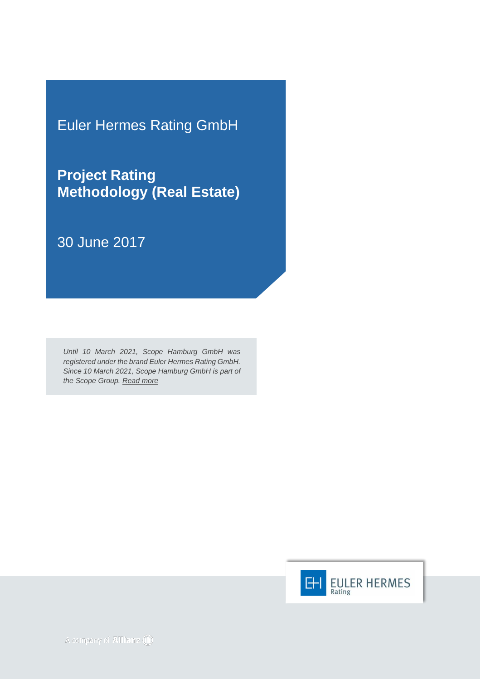Euler Hermes Rating GmbH

**Project Rating Methodology (Real Estate)**

30 June 2017

*Until 10 March 2021, Scope Hamburg GmbH was registered under the brand Euler Hermes Rating GmbH. Since 10 March 2021, Scope Hamburg GmbH is part of the Scope Group. [Read more](https://scopegroup.com/media-centre/Scope-Group-acquires-Euler-Hermes-Rating-.html)*

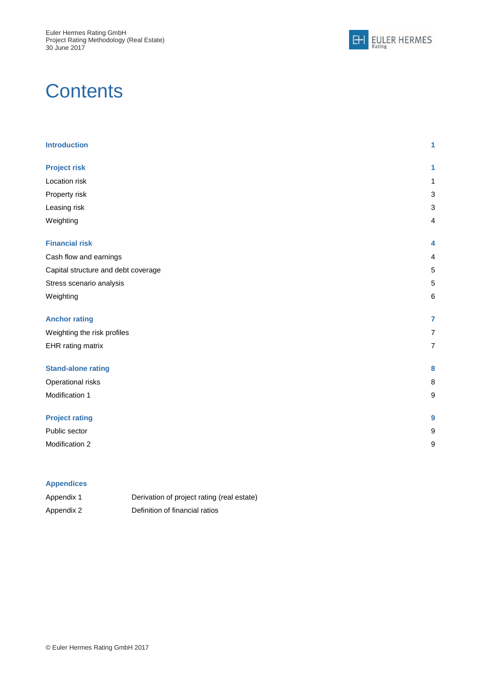

# **Contents**

| <b>Introduction</b>                 | 1 |
|-------------------------------------|---|
| <b>Project risk</b>                 | 1 |
| Location risk                       | 1 |
| Property risk                       | 3 |
| Leasing risk                        | 3 |
| Weighting                           | 4 |
| <b>Financial risk</b>               | 4 |
| Cash flow and earnings              | 4 |
| Capital structure and debt coverage | 5 |
| Stress scenario analysis            | 5 |
| Weighting                           | 6 |
| <b>Anchor rating</b>                | 7 |
| Weighting the risk profiles         | 7 |
| EHR rating matrix                   | 7 |
| <b>Stand-alone rating</b>           | 8 |
| Operational risks                   | 8 |
| Modification 1                      | 9 |
| <b>Project rating</b>               | 9 |
| Public sector                       | 9 |
| Modification 2                      | g |

#### **Appendices**

| Appendix 1 | Derivation of project rating (real estate) |
|------------|--------------------------------------------|
| Appendix 2 | Definition of financial ratios             |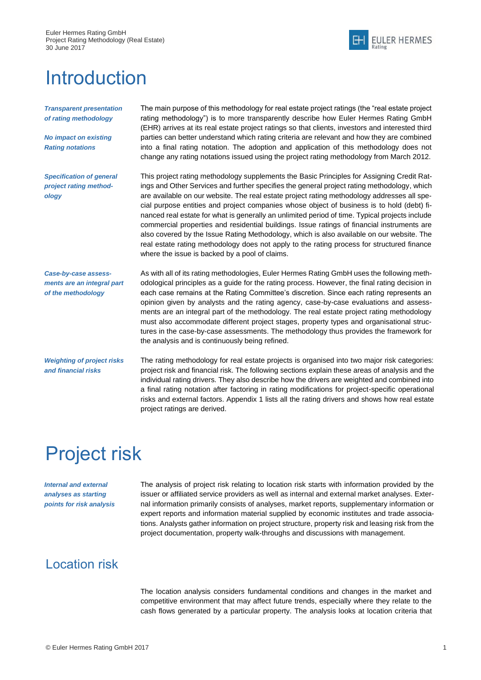Euler Hermes Rating GmbH Project Rating Methodology (Real Estate) 30 June 2017



# <span id="page-2-0"></span>**Introduction**

*Transparent presentation of rating methodology*

*No impact on existing Rating notations*

*Specification of general project rating methodology*

The main purpose of this methodology for real estate project ratings (the "real estate project rating methodology") is to more transparently describe how Euler Hermes Rating GmbH (EHR) arrives at its real estate project ratings so that clients, investors and interested third parties can better understand which rating criteria are relevant and how they are combined into a final rating notation. The adoption and application of this methodology does not change any rating notations issued using the project rating methodology from March 2012.

This project rating methodology supplements the Basic Principles for Assigning Credit Ratings and Other Services and further specifies the general project rating methodology, which are available on our website. The real estate project rating methodology addresses all special purpose entities and project companies whose object of business is to hold (debt) financed real estate for what is generally an unlimited period of time. Typical projects include commercial properties and residential buildings. Issue ratings of financial instruments are also covered by the Issue Rating Methodology, which is also available on our website. The real estate rating methodology does not apply to the rating process for structured finance where the issue is backed by a pool of claims.

*Case-by-case assessments are an integral part of the methodology*

As with all of its rating methodologies, Euler Hermes Rating GmbH uses the following methodological principles as a guide for the rating process. However, the final rating decision in each case remains at the Rating Committee's discretion. Since each rating represents an opinion given by analysts and the rating agency, case-by-case evaluations and assessments are an integral part of the methodology. The real estate project rating methodology must also accommodate different project stages, property types and organisational structures in the case-by-case assessments. The methodology thus provides the framework for the analysis and is continuously being refined.

*Weighting of project risks and financial risks* The rating methodology for real estate projects is organised into two major risk categories: project risk and financial risk. The following sections explain these areas of analysis and the individual rating drivers. They also describe how the drivers are weighted and combined into a final rating notation after factoring in rating modifications for project-specific operational risks and external factors. Appendix 1 lists all the rating drivers and shows how real estate project ratings are derived.

# <span id="page-2-1"></span>Project risk

*Internal and external analyses as starting points for risk analysis*

The analysis of project risk relating to location risk starts with information provided by the issuer or affiliated service providers as well as internal and external market analyses. External information primarily consists of analyses, market reports, supplementary information or expert reports and information material supplied by economic institutes and trade associations. Analysts gather information on project structure, property risk and leasing risk from the project documentation, property walk-throughs and discussions with management.

## <span id="page-2-2"></span>Location risk

The location analysis considers fundamental conditions and changes in the market and competitive environment that may affect future trends, especially where they relate to the cash flows generated by a particular property. The analysis looks at location criteria that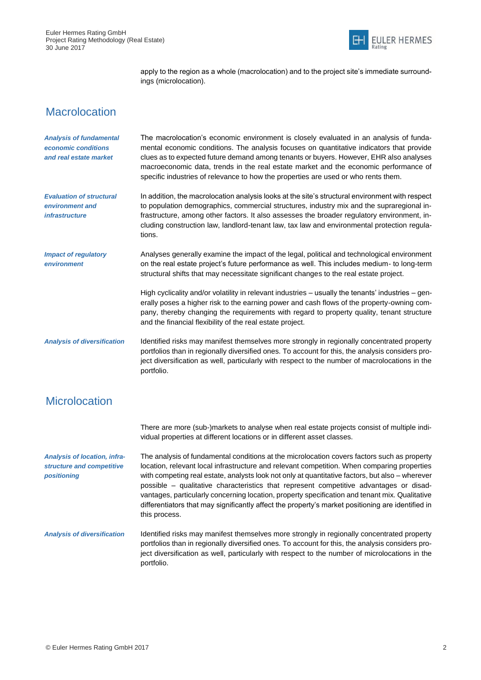

apply to the region as a whole (macrolocation) and to the project site's immediate surroundings (microlocation).

## **Macrolocation**

| <b>Analysis of fundamental</b><br>economic conditions<br>and real estate market | The macrolocation's economic environment is closely evaluated in an analysis of funda-<br>mental economic conditions. The analysis focuses on quantitative indicators that provide<br>clues as to expected future demand among tenants or buyers. However, EHR also analyses<br>macroeconomic data, trends in the real estate market and the economic performance of<br>specific industries of relevance to how the properties are used or who rents them.                                                                                                                                                      |
|---------------------------------------------------------------------------------|-----------------------------------------------------------------------------------------------------------------------------------------------------------------------------------------------------------------------------------------------------------------------------------------------------------------------------------------------------------------------------------------------------------------------------------------------------------------------------------------------------------------------------------------------------------------------------------------------------------------|
| <b>Evaluation of structural</b><br>environment and<br><i>infrastructure</i>     | In addition, the macrolocation analysis looks at the site's structural environment with respect<br>to population demographics, commercial structures, industry mix and the supraregional in-<br>frastructure, among other factors. It also assesses the broader regulatory environment, in-<br>cluding construction law, landlord-tenant law, tax law and environmental protection regula-<br>tions.                                                                                                                                                                                                            |
| <b>Impact of regulatory</b><br>environment                                      | Analyses generally examine the impact of the legal, political and technological environment<br>on the real estate project's future performance as well. This includes medium- to long-term<br>structural shifts that may necessitate significant changes to the real estate project.                                                                                                                                                                                                                                                                                                                            |
|                                                                                 | High cyclicality and/or volatility in relevant industries - usually the tenants' industries - gen-<br>erally poses a higher risk to the earning power and cash flows of the property-owning com-<br>pany, thereby changing the requirements with regard to property quality, tenant structure<br>and the financial flexibility of the real estate project.                                                                                                                                                                                                                                                      |
| <b>Analysis of diversification</b>                                              | Identified risks may manifest themselves more strongly in regionally concentrated property<br>portfolios than in regionally diversified ones. To account for this, the analysis considers pro-<br>ject diversification as well, particularly with respect to the number of macrolocations in the<br>portfolio.                                                                                                                                                                                                                                                                                                  |
| <b>Microlocation</b>                                                            |                                                                                                                                                                                                                                                                                                                                                                                                                                                                                                                                                                                                                 |
|                                                                                 | There are more (sub-)markets to analyse when real estate projects consist of multiple indi-<br>vidual properties at different locations or in different asset classes.                                                                                                                                                                                                                                                                                                                                                                                                                                          |
| <b>Analysis of location, infra-</b><br>structure and competitive<br>positioning | The analysis of fundamental conditions at the microlocation covers factors such as property<br>location, relevant local infrastructure and relevant competition. When comparing properties<br>with competing real estate, analysts look not only at quantitative factors, but also - wherever<br>possible - qualitative characteristics that represent competitive advantages or disad-<br>vantages, particularly concerning location, property specification and tenant mix. Qualitative<br>differentiators that may significantly affect the property's market positioning are identified in<br>this process. |
| <b>Analysis of diversification</b>                                              | Identified risks may manifest themselves more strongly in regionally concentrated property<br>portfolios than in regionally diversified ones. To account for this, the analysis considers pro-<br>ject diversification as well, particularly with respect to the number of microlocations in the<br>portfolio.                                                                                                                                                                                                                                                                                                  |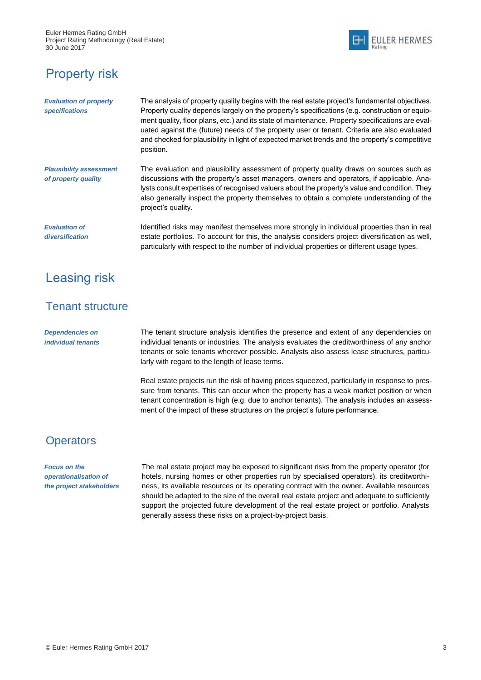

## <span id="page-4-0"></span>Property risk

| <b>Evaluation of property</b><br>specifications       | The analysis of property quality begins with the real estate project's fundamental objectives.<br>Property quality depends largely on the property's specifications (e.g. construction or equip-<br>ment quality, floor plans, etc.) and its state of maintenance. Property specifications are eval-<br>uated against the (future) needs of the property user or tenant. Criteria are also evaluated<br>and checked for plausibility in light of expected market trends and the property's competitive<br>position. |
|-------------------------------------------------------|---------------------------------------------------------------------------------------------------------------------------------------------------------------------------------------------------------------------------------------------------------------------------------------------------------------------------------------------------------------------------------------------------------------------------------------------------------------------------------------------------------------------|
| <b>Plausibility assessment</b><br>of property quality | The evaluation and plausibility assessment of property quality draws on sources such as<br>discussions with the property's asset managers, owners and operators, if applicable. Ana-<br>lysts consult expertises of recognised valuers about the property's value and condition. They<br>also generally inspect the property themselves to obtain a complete understanding of the<br>project's quality.                                                                                                             |
| <b>Evaluation of</b><br>diversification               | Identified risks may manifest themselves more strongly in individual properties than in real<br>estate portfolios. To account for this, the analysis considers project diversification as well,<br>particularly with respect to the number of individual properties or different usage types.                                                                                                                                                                                                                       |

## <span id="page-4-1"></span>Leasing risk

### Tenant structure

*Dependencies on individual tenants* The tenant structure analysis identifies the presence and extent of any dependencies on individual tenants or industries. The analysis evaluates the creditworthiness of any anchor tenants or sole tenants wherever possible. Analysts also assess lease structures, particularly with regard to the length of lease terms.

Real estate projects run the risk of having prices squeezed, particularly in response to pressure from tenants. This can occur when the property has a weak market position or when tenant concentration is high (e.g. due to anchor tenants). The analysis includes an assessment of the impact of these structures on the project's future performance.

### **Operators**

*Focus on the operationalisation of the project stakeholders* The real estate project may be exposed to significant risks from the property operator (for hotels, nursing homes or other properties run by specialised operators), its creditworthiness, its available resources or its operating contract with the owner. Available resources should be adapted to the size of the overall real estate project and adequate to sufficiently support the projected future development of the real estate project or portfolio. Analysts generally assess these risks on a project-by-project basis.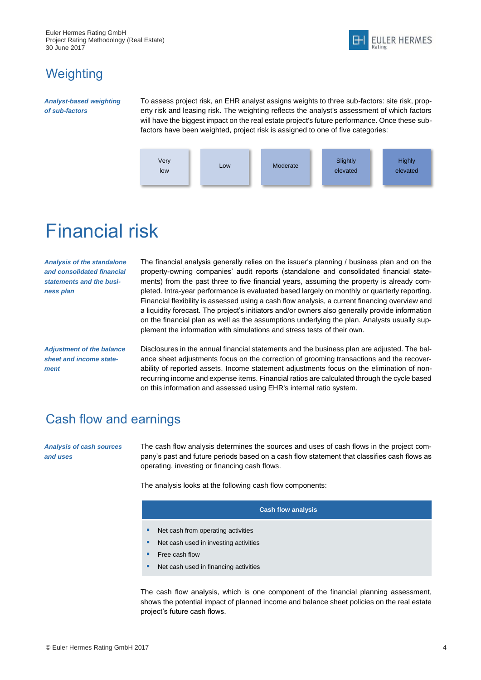Euler Hermes Rating GmbH Project Rating Methodology (Real Estate) 30 June 2017



## <span id="page-5-0"></span>**Weighting**

#### *Analyst-based weighting of sub-factors*

To assess project risk, an EHR analyst assigns weights to three sub-factors: site risk, property risk and leasing risk. The weighting reflects the analyst's assessment of which factors will have the biggest impact on the real estate project's future performance. Once these subfactors have been weighted, project risk is assigned to one of five categories:



# <span id="page-5-1"></span>Financial risk

*Analysis of the standalone and consolidated financial statements and the business plan*

The financial analysis generally relies on the issuer's planning / business plan and on the property-owning companies' audit reports (standalone and consolidated financial statements) from the past three to five financial years, assuming the property is already completed. Intra-year performance is evaluated based largely on monthly or quarterly reporting. Financial flexibility is assessed using a cash flow analysis, a current financing overview and a liquidity forecast. The project's initiators and/or owners also generally provide information on the financial plan as well as the assumptions underlying the plan. Analysts usually supplement the information with simulations and stress tests of their own.

*Adjustment of the balance sheet and income statement*

Disclosures in the annual financial statements and the business plan are adjusted. The balance sheet adjustments focus on the correction of grooming transactions and the recoverability of reported assets. Income statement adjustments focus on the elimination of nonrecurring income and expense items. Financial ratios are calculated through the cycle based on this information and assessed using EHR's internal ratio system.

## <span id="page-5-2"></span>Cash flow and earnings

*Analysis of cash sources and uses*

The cash flow analysis determines the sources and uses of cash flows in the project company's past and future periods based on a cash flow statement that classifies cash flows as operating, investing or financing cash flows.

The analysis looks at the following cash flow components:

#### **Cash flow analysis**

- Net cash from operating activities
- Net cash used in investing activities
- Free cash flow
- Net cash used in financing activities

The cash flow analysis, which is one component of the financial planning assessment, shows the potential impact of planned income and balance sheet policies on the real estate project's future cash flows.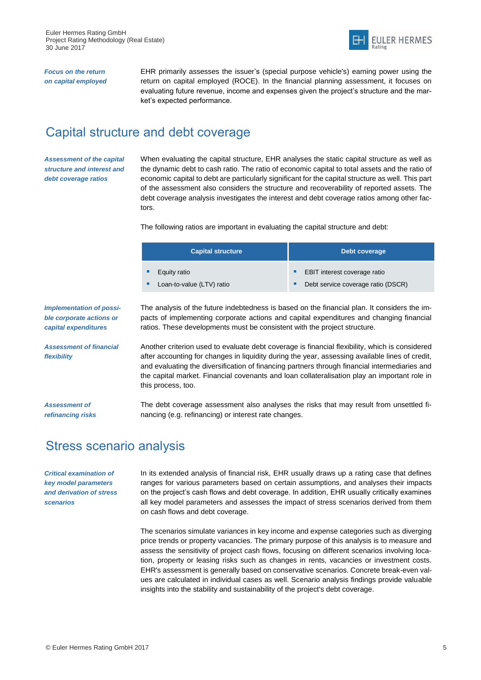

*Focus on the return on capital employed* EHR primarily assesses the issuer's (special purpose vehicle's) earning power using the return on capital employed (ROCE). In the financial planning assessment, it focuses on evaluating future revenue, income and expenses given the project's structure and the market's expected performance.

## <span id="page-6-0"></span>Capital structure and debt coverage

*Assessment of the capital structure and interest and debt coverage ratios*

When evaluating the capital structure, EHR analyses the static capital structure as well as the dynamic debt to cash ratio. The ratio of economic capital to total assets and the ratio of economic capital to debt are particularly significant for the capital structure as well. This part of the assessment also considers the structure and recoverability of reported assets. The debt coverage analysis investigates the interest and debt coverage ratios among other factors.

The following ratios are important in evaluating the capital structure and debt:

| <b>Capital structure</b>  | Debt coverage                            |  |  |
|---------------------------|------------------------------------------|--|--|
| Equity ratio              | <b>EBIT</b> interest coverage ratio<br>ш |  |  |
| Loan-to-value (LTV) ratio | Debt service coverage ratio (DSCR)<br>ш  |  |  |

*Implementation of possible corporate actions or capital expenditures*

*Assessment of financial flexibility*

*Assessment of refinancing risks* The analysis of the future indebtedness is based on the financial plan. It considers the impacts of implementing corporate actions and capital expenditures and changing financial ratios. These developments must be consistent with the project structure.

Another criterion used to evaluate debt coverage is financial flexibility, which is considered after accounting for changes in liquidity during the year, assessing available lines of credit, and evaluating the diversification of financing partners through financial intermediaries and the capital market. Financial covenants and loan collateralisation play an important role in this process, too.

The debt coverage assessment also analyses the risks that may result from unsettled financing (e.g. refinancing) or interest rate changes.

## <span id="page-6-1"></span>Stress scenario analysis

*Critical examination of key model parameters and derivation of stress scenarios*

In its extended analysis of financial risk, EHR usually draws up a rating case that defines ranges for various parameters based on certain assumptions, and analyses their impacts on the project's cash flows and debt coverage. In addition, EHR usually critically examines all key model parameters and assesses the impact of stress scenarios derived from them on cash flows and debt coverage.

The scenarios simulate variances in key income and expense categories such as diverging price trends or property vacancies. The primary purpose of this analysis is to measure and assess the sensitivity of project cash flows, focusing on different scenarios involving location, property or leasing risks such as changes in rents, vacancies or investment costs. EHR's assessment is generally based on conservative scenarios. Concrete break-even values are calculated in individual cases as well. Scenario analysis findings provide valuable insights into the stability and sustainability of the project's debt coverage.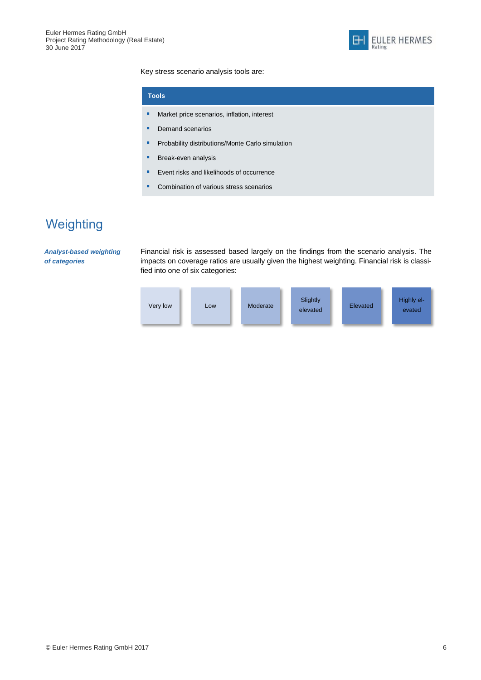

Key stress scenario analysis tools are:

|   | <b>Tools</b>                                     |
|---|--------------------------------------------------|
| п | Market price scenarios, inflation, interest      |
|   | Demand scenarios                                 |
| ■ | Probability distributions/Monte Carlo simulation |
|   | Break-even analysis                              |
|   | Event risks and likelihoods of occurrence        |
|   | Combination of various stress scenarios          |

# <span id="page-7-0"></span>**Weighting**

*Analyst-based weighting of categories*

Financial risk is assessed based largely on the findings from the scenario analysis. The impacts on coverage ratios are usually given the highest weighting. Financial risk is classified into one of six categories:

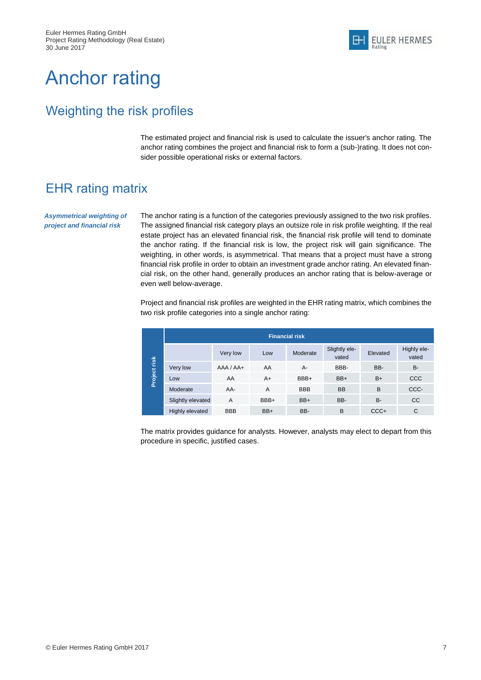# <span id="page-8-0"></span>Anchor rating

## <span id="page-8-1"></span>Weighting the risk profiles

The estimated project and financial risk is used to calculate the issuer's anchor rating. The anchor rating combines the project and financial risk to form a (sub-)rating. It does not consider possible operational risks or external factors.

## <span id="page-8-2"></span>EHR rating matrix

*Asymmetrical weighting of project and financial risk*

The anchor rating is a function of the categories previously assigned to the two risk profiles. The assigned financial risk category plays an outsize role in risk profile weighting. If the real estate project has an elevated financial risk, the financial risk profile will tend to dominate the anchor rating. If the financial risk is low, the project risk will gain significance. The weighting, in other words, is asymmetrical. That means that a project must have a strong financial risk profile in order to obtain an investment grade anchor rating. An elevated financial risk, on the other hand, generally produces an anchor rating that is below-average or even well below-average.

Project and financial risk profiles are weighted in the EHR rating matrix, which combines the two risk profile categories into a single anchor rating:

|         | <b>Financial risk</b> |                |      |            |                        |           |                      |  |
|---------|-----------------------|----------------|------|------------|------------------------|-----------|----------------------|--|
|         |                       | Very low       | Low  | Moderate   | Slightly ele-<br>vated | Elevated  | Highly ele-<br>vated |  |
| risk    | Very low              | $AAA / AAA +$  | AA   | А-         | BBB-                   | BB-       | <b>B-</b>            |  |
| Project | Low                   | AA             | $A+$ | BBB+       | BB+                    | $B+$      | <b>CCC</b>           |  |
|         | Moderate              | AA-            | A    | <b>BBB</b> | <b>BB</b>              | B         | CCC-                 |  |
|         | Slightly elevated     | $\overline{A}$ | BBB+ | $BB+$      | BB-                    | <b>B-</b> | <b>CC</b>            |  |
|         | Highly elevated       | <b>BBB</b>     | BB+  | BB-        | B                      | $CCC +$   | C                    |  |

The matrix provides guidance for analysts. However, analysts may elect to depart from this procedure in specific, justified cases.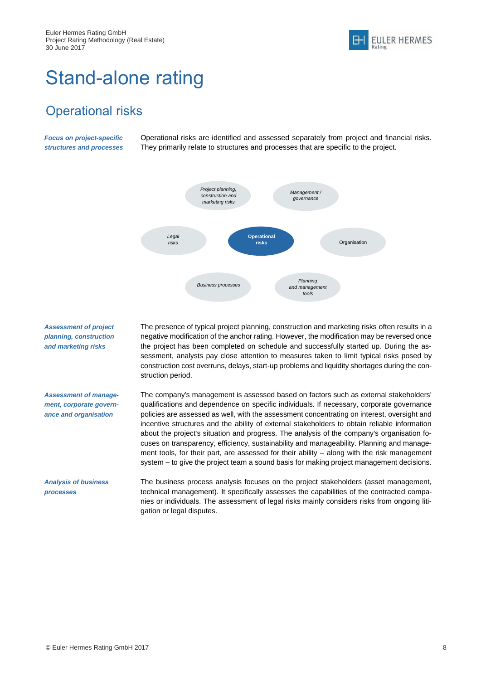

# <span id="page-9-0"></span>Stand-alone rating

## <span id="page-9-1"></span>Operational risks

*Focus on project-specific structures and processes* Operational risks are identified and assessed separately from project and financial risks. They primarily relate to structures and processes that are specific to the project.



*Assessment of project planning, construction and marketing risks Assessment of management, corporate governance and organisation Analysis of business processes* The presence of typical project planning, construction and marketing risks often results in a negative modification of the anchor rating. However, the modification may be reversed once the project has been completed on schedule and successfully started up. During the assessment, analysts pay close attention to measures taken to limit typical risks posed by construction cost overruns, delays, start-up problems and liquidity shortages during the construction period. The company's management is assessed based on factors such as external stakeholders' qualifications and dependence on specific individuals. If necessary, corporate governance policies are assessed as well, with the assessment concentrating on interest, oversight and incentive structures and the ability of external stakeholders to obtain reliable information about the project's situation and progress. The analysis of the company's organisation focuses on transparency, efficiency, sustainability and manageability. Planning and management tools, for their part, are assessed for their ability – along with the risk management system – to give the project team a sound basis for making project management decisions. The business process analysis focuses on the project stakeholders (asset management, technical management). It specifically assesses the capabilities of the contracted companies or individuals. The assessment of legal risks mainly considers risks from ongoing litigation or legal disputes.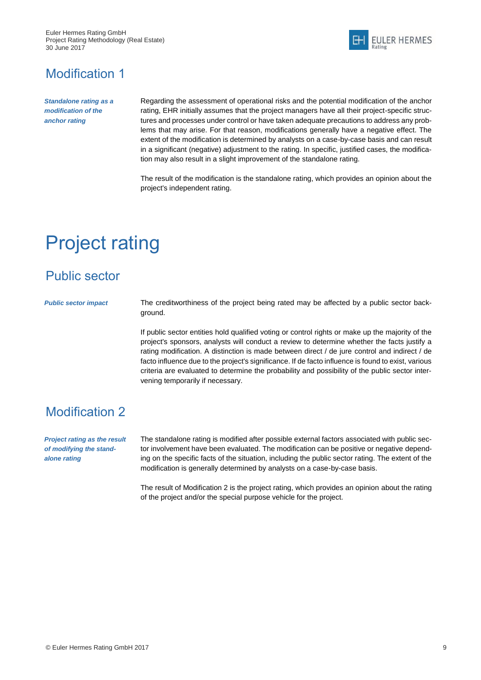Euler Hermes Rating GmbH Project Rating Methodology (Real Estate) 30 June 2017



## <span id="page-10-0"></span>Modification 1

*Standalone rating as a modification of the anchor rating*

Regarding the assessment of operational risks and the potential modification of the anchor rating, EHR initially assumes that the project managers have all their project-specific structures and processes under control or have taken adequate precautions to address any problems that may arise. For that reason, modifications generally have a negative effect. The extent of the modification is determined by analysts on a case-by-case basis and can result in a significant (negative) adjustment to the rating. In specific, justified cases, the modification may also result in a slight improvement of the standalone rating.

The result of the modification is the standalone rating, which provides an opinion about the project's independent rating.

# <span id="page-10-1"></span>Project rating

## <span id="page-10-2"></span>Public sector

*Public sector impact* The creditworthiness of the project being rated may be affected by a public sector background.

> If public sector entities hold qualified voting or control rights or make up the majority of the project's sponsors, analysts will conduct a review to determine whether the facts justify a rating modification. A distinction is made between direct / de jure control and indirect / de facto influence due to the project's significance. If de facto influence is found to exist, various criteria are evaluated to determine the probability and possibility of the public sector intervening temporarily if necessary.

## <span id="page-10-3"></span>Modification 2

*Project rating as the result of modifying the standalone rating*

The standalone rating is modified after possible external factors associated with public sector involvement have been evaluated. The modification can be positive or negative depending on the specific facts of the situation, including the public sector rating. The extent of the modification is generally determined by analysts on a case-by-case basis.

The result of Modification 2 is the project rating, which provides an opinion about the rating of the project and/or the special purpose vehicle for the project.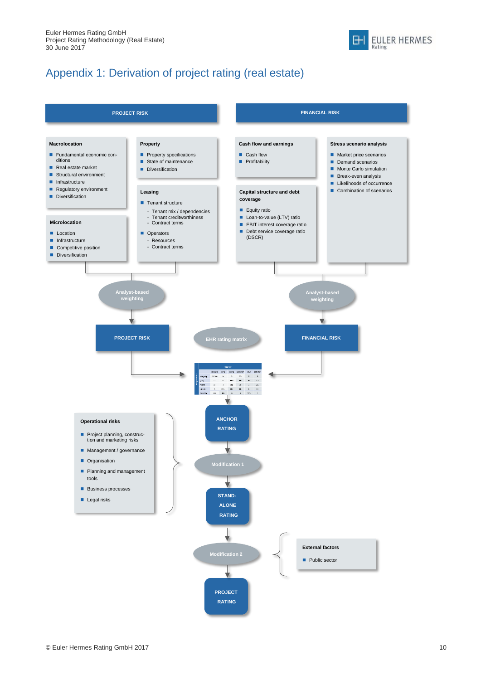

## Appendix 1: Derivation of project rating (real estate)

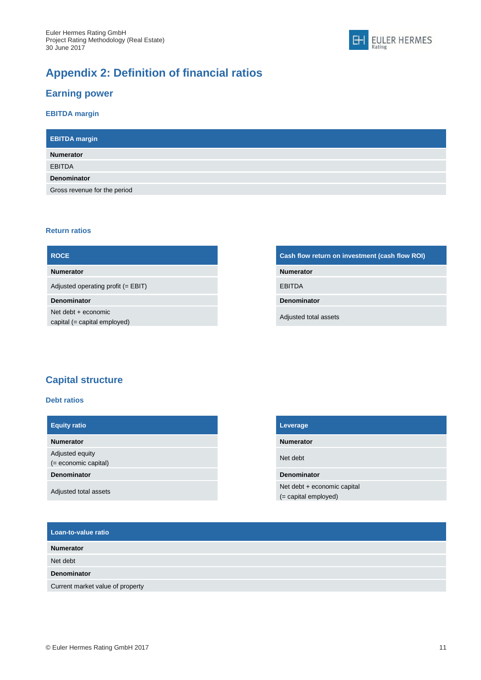## **Appendix 2: Definition of financial ratios**

### **Earning power**

### **EBITDA margin**

| <b>EBITDA</b> margin         |
|------------------------------|
| <b>Numerator</b>             |
| <b>EBITDA</b>                |
| <b>Denominator</b>           |
| Gross revenue for the period |

#### **Return ratios**

| <b>ROCE</b>                                           | Cash flow return on investment (cash flow ROI) |
|-------------------------------------------------------|------------------------------------------------|
| <b>Numerator</b>                                      | <b>Numerator</b>                               |
| Adjusted operating profit $(= EBIT)$                  | <b>EBITDA</b>                                  |
| <b>Denominator</b>                                    | <b>Denominator</b>                             |
| Net debt $+$ economic<br>capital (= capital employed) | Adjusted total assets                          |

### **Capital structure**

#### **Debt ratios**

| <b>Equity ratio</b>                       |
|-------------------------------------------|
| <b>Numerator</b>                          |
| Adjusted equity<br>$(=$ economic capital) |
| <b>Denominator</b>                        |
| Adjusted total assets                     |

| Leverage                                              |
|-------------------------------------------------------|
| <b>Numerator</b>                                      |
| Net debt                                              |
| <b>Denominator</b>                                    |
| Net debt + economic capital<br>$(=$ capital employed) |

EULER HERMES

 $H$ 

| Loan-to-value ratio              |  |  |
|----------------------------------|--|--|
| <b>Numerator</b>                 |  |  |
| Net debt                         |  |  |
| <b>Denominator</b>               |  |  |
| Current market value of property |  |  |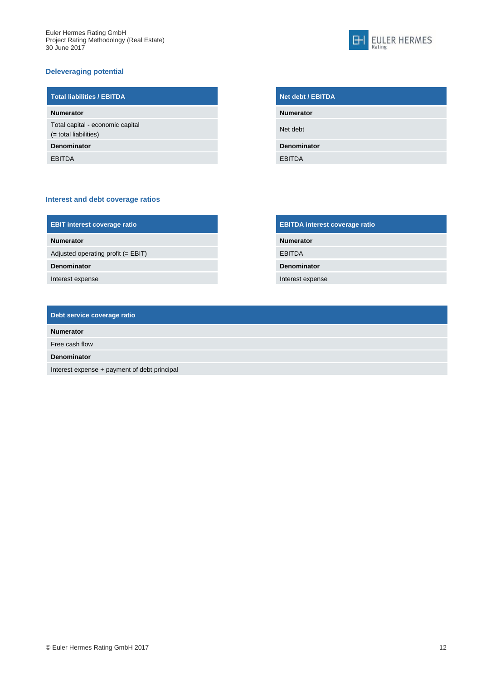#### **Deleveraging potential**



| <b>Total liabilities / EBITDA</b>                         |
|-----------------------------------------------------------|
| <b>Numerator</b>                                          |
| Total capital - economic capital<br>(= total liabilities) |
| <b>Denominator</b>                                        |
| <b>EBITDA</b>                                             |

#### **Interest and debt coverage ratios**

| <b>EBIT interest coverage ratio</b> |  |
|-------------------------------------|--|
|                                     |  |

**Denominator Denominator**

Interest expense **Interest expense** 

| <b>EBIT interest coverage ratio</b> | <b>EBITDA interest coverage ratio</b> |
|-------------------------------------|---------------------------------------|
| <b>Numerator</b>                    | <b>Numerator</b>                      |
| Adjusted operating profit (= EBIT)  | <b>EBITDA</b>                         |
| <b>Denominator</b>                  | <b>Denominator</b>                    |
|                                     |                                       |

| Debt service coverage ratio |  |
|-----------------------------|--|
| <b>Numerator</b>            |  |
| Free cash flow              |  |

**Denominator**

Interest expense + payment of debt principal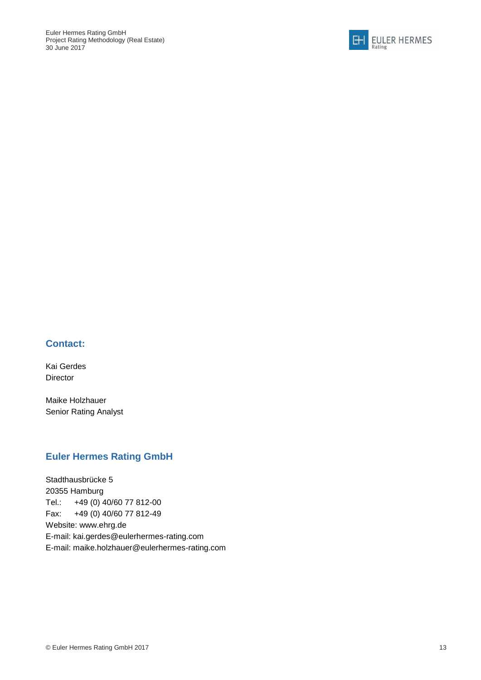

### **Contact:**

Kai Gerdes Director

Maike Holzhauer Senior Rating Analyst

### **Euler Hermes Rating GmbH**

Stadthausbrücke 5 20355 Hamburg Tel.: +49 (0) 40/60 77 812-00 Fax: +49 (0) 40/60 77 812-49 Website: www.ehrg.de E-mail: [kai.gerdes@eulerhermes-rating.com](mailto:maike.holzhauer@eulerhermes-rating.com) E-mail: [maike.holzhauer@eulerhermes-rating.com](mailto:maike.holzhauer@eulerhermes-rating.com)